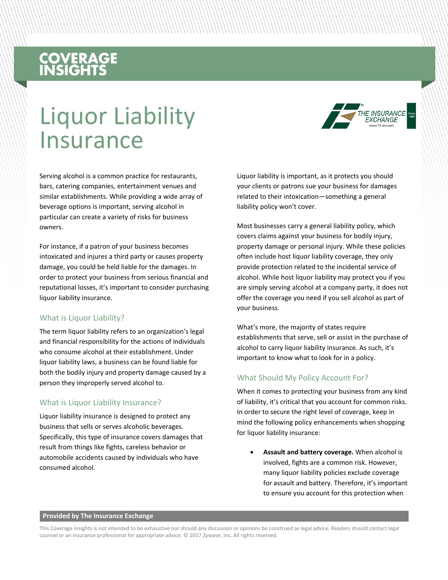# **COVERAGE**<br>INSIGHTS

## Liquor Liability Insurance

Serving alcohol is a common practice for restaurants, bars, catering companies, entertainment venues and similar establishments. While providing a wide array of beverage options is important, serving alcohol in particular can create a variety of risks for business owners.

For instance, if a patron of your business becomes intoxicated and injures a third party or causes property damage, you could be held liable for the damages. In order to protect your business from serious financial and reputational losses, it's important to consider purchasing liquor liability insurance.

#### What is Liquor Liability?

The term liquor liability refers to an organization's legal and financial responsibility for the actions of individuals who consume alcohol at their establishment. Under liquor liability laws, a business can be found liable for both the bodily injury and property damage caused by a person they improperly served alcohol to.

#### What is Liquor Liability Insurance?

Liquor liability insurance is designed to protect any business that sells or serves alcoholic beverages. Specifically, this type of insurance covers damages that result from things like fights, careless behavior or automobile accidents caused by individuals who have consumed alcohol.

Liquor liability is important, as it protects you should your clients or patrons sue your business for damages related to their intoxication—something a general liability policy won't cover.

**INSURANCE FXCHANGF** 

Most businesses carry a general liability policy, which covers claims against your business for bodily injury, property damage or personal injury. While these policies often include host liquor liability coverage, they only provide protection related to the incidental service of alcohol. While host liquor liability may protect you if you are simply serving alcohol at a company party, it does not offer the coverage you need if you sell alcohol as part of your business.

What's more, the majority of states require establishments that serve, sell or assist in the purchase of alcohol to carry liquor liability insurance. As such, it's important to know what to look for in a policy.

#### What Should My Policy Account For?

When it comes to protecting your business from any kind of liability, it's critical that you account for common risks. In order to secure the right level of coverage, keep in mind the following policy enhancements when shopping for liquor liability insurance:

 **Assault and battery coverage.** When alcohol is involved, fights are a common risk. However, many liquor liability policies exclude coverage for assault and battery. Therefore, it's important to ensure you account for this protection when

#### **Provided by The Insurance Exchange**

This Coverage Insights is not intended to be exhaustive nor should any discussion or opinions be construed as legal advice. Readers should contact legal counsel or an insurance professional for appropriate advice. © 2017 Zywave, Inc. All rights reserved.